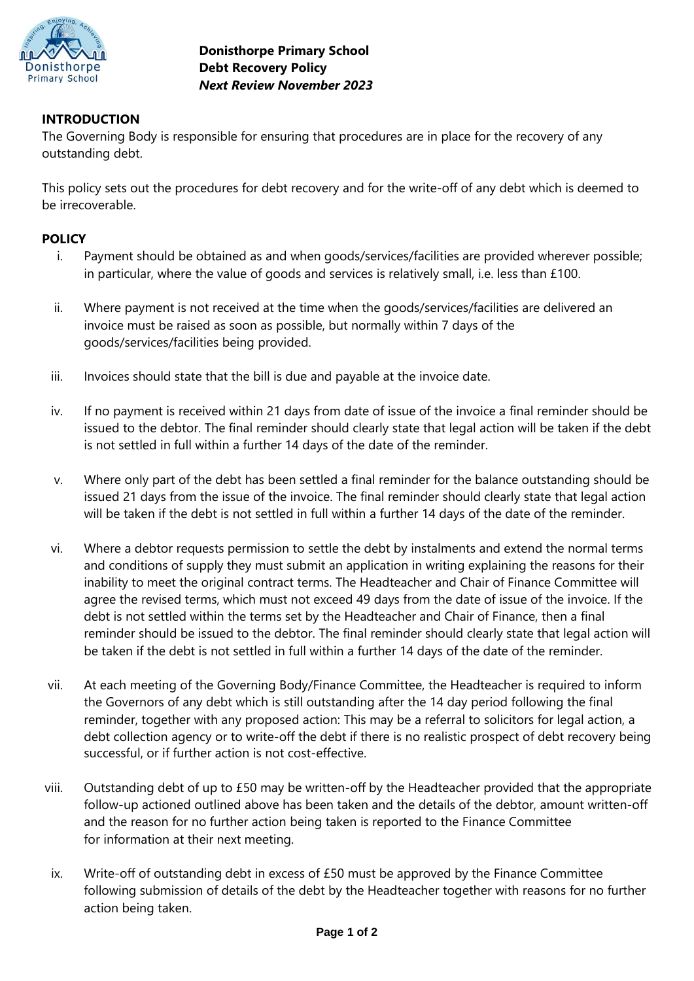

## **Donisthorpe Primary School Debt Recovery Policy** *Next Review November 2023*

## **INTRODUCTION**

The Governing Body is responsible for ensuring that procedures are in place for the recovery of any outstanding debt.

This policy sets out the procedures for debt recovery and for the write-off of any debt which is deemed to be irrecoverable.

## **POLICY**

- i. Payment should be obtained as and when goods/services/facilities are provided wherever possible; in particular, where the value of goods and services is relatively small, i.e. less than £100.
- ii. Where payment is not received at the time when the goods/services/facilities are delivered an invoice must be raised as soon as possible, but normally within 7 days of the goods/services/facilities being provided.
- iii. Invoices should state that the bill is due and payable at the invoice date.
- iv. If no payment is received within 21 days from date of issue of the invoice a final reminder should be issued to the debtor. The final reminder should clearly state that legal action will be taken if the debt is not settled in full within a further 14 days of the date of the reminder.
- v. Where only part of the debt has been settled a final reminder for the balance outstanding should be issued 21 days from the issue of the invoice. The final reminder should clearly state that legal action will be taken if the debt is not settled in full within a further 14 days of the date of the reminder.
- vi. Where a debtor requests permission to settle the debt by instalments and extend the normal terms and conditions of supply they must submit an application in writing explaining the reasons for their inability to meet the original contract terms. The Headteacher and Chair of Finance Committee will agree the revised terms, which must not exceed 49 days from the date of issue of the invoice. If the debt is not settled within the terms set by the Headteacher and Chair of Finance, then a final reminder should be issued to the debtor. The final reminder should clearly state that legal action will be taken if the debt is not settled in full within a further 14 days of the date of the reminder.
- vii. At each meeting of the Governing Body/Finance Committee, the Headteacher is required to inform the Governors of any debt which is still outstanding after the 14 day period following the final reminder, together with any proposed action: This may be a referral to solicitors for legal action, a debt collection agency or to write-off the debt if there is no realistic prospect of debt recovery being successful, or if further action is not cost-effective.
- viii. Outstanding debt of up to £50 may be written-off by the Headteacher provided that the appropriate follow-up actioned outlined above has been taken and the details of the debtor, amount written-off and the reason for no further action being taken is reported to the Finance Committee for information at their next meeting.
- ix. Write-off of outstanding debt in excess of £50 must be approved by the Finance Committee following submission of details of the debt by the Headteacher together with reasons for no further action being taken.